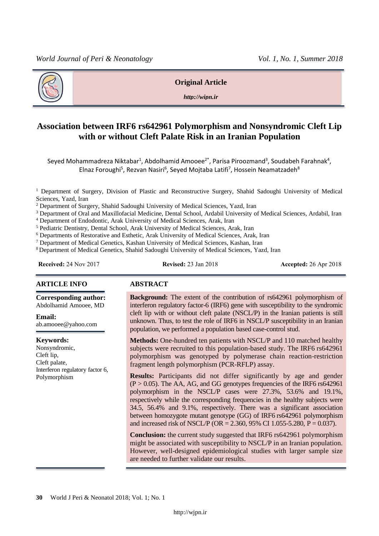

#### **Original Article**

*http://wipn.ir*

# **Association between IRF6 rs642961 Polymorphism and Nonsyndromic Cleft Lip with or without Cleft Palate Risk in an Iranian Population**

Seyed Mohammadreza Niktabar<sup>1</sup>, Abdolhamid Amooee<sup>2\*</sup>, Parisa Piroozmand<sup>3</sup>, Soudabeh Farahnak<sup>4</sup>, Elnaz Foroughi<sup>5</sup>, Rezvan Nasiri<sup>6</sup>, Seyed Mojtaba Latifi<sup>7</sup>, Hossein Neamatzadeh<sup>8</sup>

<sup>1</sup> Department of Surgery, Division of Plastic and Reconstructive Surgery, Shahid Sadoughi University of Medical Sciences, Yazd, Iran

<sup>2</sup> Department of Surgery, Shahid Sadoughi University of Medical Sciences, Yazd, Iran

<sup>3</sup> Department of Oral and Maxillofacial Medicine, Dental School, Ardabil University of Medical Sciences, Ardabil, Iran

<sup>4</sup> Department of Endodontic, Arak University of Medical Sciences, Arak, Iran

<sup>5</sup> Pediatric Dentistry, Dental School, Arak University of Medical Sciences, Arak, Iran

<sup>6</sup> Departments of Restorative and Esthetic, Arak University of Medical Sciences, Arak, Iran

<sup>7</sup> Department of Medical Genetics, Kashan University of Medical Sciences, Kashan, Iran

<sup>8</sup>Department of Medical Genetics, Shahid Sadoughi University of Medical Sciences, Yazd, Iran

**Received:** 24 Nov 2017 **Revised:** 23 Jan 2018 **Accepted:** 26 Apr 2018

**Corresponding author:** Abdolhamid Amooee, MD

ab.amooee@yahoo.com

Interferon regulatory factor 6,

#### **ARTICLE INFO ABSTRACT**

**Email:** 

**Keywords:**  Nonsyndromic, [Cleft lip,](https://www.sciencedirect.com/topics/medicine-and-dentistry/cleft-lip) [Cleft palate,](https://www.sciencedirect.com/topics/medicine-and-dentistry/cleft-palate)

Polymorphism

**Background:** The extent of the contribution of rs642961 polymorphism of interferon regulatory factor-6 (IRF6) gene with susceptibility to the syndromic cleft lip with or without cleft palate (NSCL/P) in the Iranian patients is still unknown. Thus, to test the role of IRF6 in NSCL/P susceptibility in an Iranian population, we performed a population based case-control stud.

**Methods:** One-hundred ten patients with NSCL/P and 110 matched healthy subjects were recruited to this population-based study. The IRF6 rs642961 polymorphism was genotyped by polymerase chain reaction-restriction fragment length polymorphism (PCR-RFLP) assay.

**Results:** Participants did not differ significantly by age and gender  $(P > 0.05)$ . The AA, AG, and GG genotypes frequencies of the IRF6 rs642961 polymorphism in the NSCL/P cases were 27.3%, 53.6% and 19.1%, respectively while the corresponding frequencies in the healthy subjects were 34.5, 56.4% and 9.1%, respectively. There was a significant association between homozygote mutant genotype (GG) of IRF6 rs642961 polymorphism and increased risk of NSCL/P (OR = 2.360, 95% CI 1.055-5.280, P = 0.037).

**Conclusion:** the current study suggested that IRF6 rs642961 polymorphism might be associated with susceptibility to NSCL/P in an Iranian population. However, well-designed epidemiological studies with larger sample size are needed to further validate our results.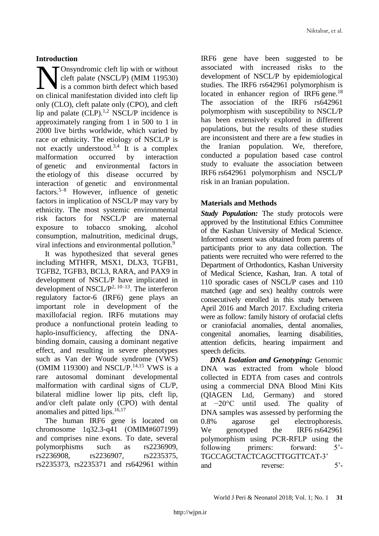### **Introduction**

Onsyndromic [cleft lip](https://www.sciencedirect.com/topics/medicine-and-dentistry/cleft-lip) with or without [cleft palate](https://www.sciencedirect.com/topics/medicine-and-dentistry/cleft-palate) (NSCL/P) (MIM 119530) is a common birth defect which based **On syndromic cleft lip with or without**<br>cleft palate (NSCL/P) (MIM 119530)<br>on clinical manifestation divided into cleft lip only (CLO), cleft palate only (CPO), and cleft lip and palate  $(CLP)$ .<sup>1,2</sup> NSCL/P incidence is approximately ranging from 1 in 500 to 1 in 2000 live births worldwide, which varied by race or ethnicity. The etiology of NSCL/P is not exactly understood.<sup>3,4</sup> It is a complex malformation occurred by interaction of genetic and environmental factors in the etiology of this disease occurred by interaction of genetic and environmental factors.5–8 However, influence of genetic factors in implication of NSCL/P may vary by ethnicity. The most systemic environmental risk factors for NSCL/P are maternal exposure to tobacco smoking, [alcohol](https://www.sciencedirect.com/topics/medicine-and-dentistry/alcohol-consumption)  [consumption,](https://www.sciencedirect.com/topics/medicine-and-dentistry/alcohol-consumption) [malnutrition,](https://www.sciencedirect.com/topics/medicine-and-dentistry/malnutrition) medicinal drugs, viral infections and environmental pollution.<sup>9</sup>

It was hypothesized that several genes including MTHFR, MSX1, DLX3, TGFB1, TGFB2, TGFB3, BCL3, RARA, and PAX9 in development of NSCL/P have implicated in development of NSCL/ $P^{2, 10-13}$ . The interferon regulatory factor-6 (IRF6) gene plays an important role in development of the maxillofacial region. IRF6 mutations may produce a nonfunctional protein leading to haplo-insufficiency, affecting the DNAbinding domain, causing a dominant negative effect, and resulting in severe phenotypes such as Van der Woude syndrome (VWS) (OMIM 119300) and NSCL/P.<sup>14,15</sup> VWS is a rare autosomal dominant developmental malformation with cardinal signs of CL/P, bilateral midline lower lip pits, cleft lip, and/or cleft palate only (CPO) with dental anomalies and pitted lips.<sup>16,17</sup>

The human IRF6 gene is located on chromosome 1q32.3-q41 (OMIM#607199) and comprises nine exons. To date, several polymorphisms such as rs2236909, rs2236908, rs2236907, rs2235375, rs2235373, rs2235371 and rs642961 within

IRF6 gene have been suggested to be associated with increased risks to the development of NSCL/P by epidemiological studies. The IRF6 rs642961 polymorphism is located in enhancer region of IRF6 gene.<sup>18</sup> The association of the IRF6 rs642961 polymorphism with susceptibility to NSCL/P has been extensively explored in different populations, but the results of these studies are inconsistent and there are a few studies in the Iranian population. We, therefore, conducted a population based case control study to evaluate the association between IRF6 rs642961 polymorphism and NSCL/P risk in an Iranian population.

# **Materials and Methods**

*Study Population:* The study protocols were approved by the Institutional Ethics Committee of the Kashan University of Medical Science. Informed consent was obtained from parents of participants prior to any data collection. The patients were recruited who were referred to the Department of Orthodontics, Kashan University of Medical Science, Kashan, Iran. A total of 110 sporadic cases of NSCL/P cases and 110 matched (age and sex) healthy controls were consecutively enrolled in this study between April 2016 and March 2017. Excluding criteria were as follow: family history of orofacial clefts or craniofacial anomalies, dental anomalies, congenital anomalies, learning disabilities, attention deficits, hearing impairment and speech deficits.

*DNA Isolation and Genotyping:* Genomic DNA was extracted from whole blood collected in EDTA from cases and controls using a commercial DNA Blood Mini Kits (QIAGEN Ltd, Germany) and stored at −20°C until used. The quality of DNA samples was assessed by performing the 0.8% agarose gel electrophoresis. We genotyped the IRF6 rs642961 polymorphism using PCR-RFLP using the following primers: forward: 5'- TGCCAGCTACTCAGCTTGGTTCAT-3' and reverse: 5<sup>'</sup>-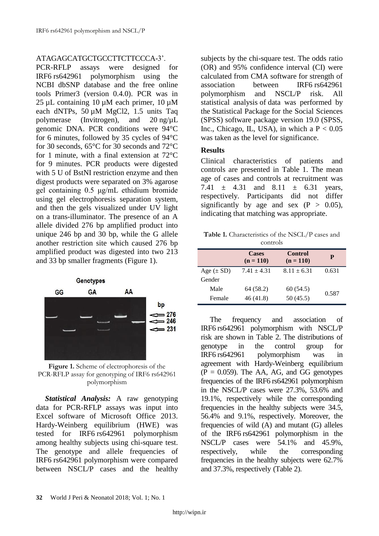### ATAGAGCATGCTGCCTTCTTCCCA-3'.

PCR-RFLP assays were designed for IRF6 rs642961 polymorphism using the NCBI dbSNP database and the free online tools Primer3 (version 0.4.0). PCR was in 25 µL containing 10 µM each primer, 10 µM each dNTPs, 50 µM MgCl2, 1.5 units Taq polymerase (Invitrogen), and 20 ng/µL genomic DNA. PCR conditions were 94°C for 6 minutes, followed by 35 cycles of 94°C for 30 seconds, 65°C for 30 seconds and 72°C for 1 minute, with a final extension at 72°C for 9 minutes. PCR products were digested with 5 U of BstNI restriction enzyme and then digest products were separated on 3% agarose gel containing 0.5 μg/mL ethidium bromide using gel electrophoresis separation system, and then the gels visualized under UV light on a trans-illuminator. The presence of an A allele divided 276 bp amplified product into unique 246 bp and 30 bp, while the G allele another restriction site which caused 276 bp amplified product was digested into two 213 and 33 bp smaller fragments (Figure 1).



**Figure 1.** Scheme of electrophoresis of the PCR-RFLP assay for genotyping of IRF6 rs642961 polymorphism

*Statistical Analysis:* A raw genotyping data for PCR-RFLP assays was input into Excel software of Microsoft Office 2013. Hardy-Weinberg equilibrium (HWE) was tested for IRF6 rs642961 polymorphism among healthy subjects using chi-square test. The genotype and allele frequencies of IRF6 rs642961 polymorphism were compared between NSCL/P cases and the healthy subjects by the chi-square test. The odds ratio (OR) and 95% confidence interval (CI) were calculated from CMA software for strength of association between IRF6 rs642961 polymorphism and NSCL/P risk. All statistical analysis of data was performed by the Statistical Package for the Social Sciences (SPSS) software package version 19.0 (SPSS, Inc., Chicago, IL, USA), in which a  $P < 0.05$ was taken as the level for significance.

### **Results**

Clinical characteristics of patients and controls are presented in Table 1. The mean age of cases and controls at recruitment was 7.41  $\pm$  4.31 and 8.11  $\pm$  6.31 years, respectively. Participants did not differ significantly by age and sex  $(P > 0.05)$ , indicating that matching was appropriate.

**Table 1.** Characteristics of the NSCL/P cases and controls

|                | <b>Cases</b><br>$(n = 110)$ | Control<br>$(n = 110)$ | P     |  |
|----------------|-----------------------------|------------------------|-------|--|
| Age $(\pm SD)$ | $7.41 \pm 4.31$             | $8.11 \pm 6.31$        | 0.631 |  |
| Gender         |                             |                        |       |  |
| Male           | 64 (58.2)                   | 60 (54.5)              | 0.587 |  |
| Female         | 46 (41.8)                   | 50(45.5)               |       |  |

The frequency and association of IRF6 rs642961 polymorphism with NSCL/P risk are shown in Table 2. The distributions of genotype in the control group for IRF6 rs642961 polymorphism was in agreement with Hardy-Weinberg equilibrium  $(P = 0.059)$ . The AA, AG, and GG genotypes frequencies of the IRF6 rs642961 polymorphism in the NSCL/P cases were 27.3%, 53.6% and 19.1%, respectively while the corresponding frequencies in the healthy subjects were 34.5, 56.4% and 9.1%, respectively. Moreover, the frequencies of wild (A) and mutant (G) alleles of the IRF6 rs642961 polymorphism in the NSCL/P cases were 54.1% and 45.9%, respectively, while the corresponding frequencies in the healthy subjects were 62.7% and 37.3%, respectively (Table 2).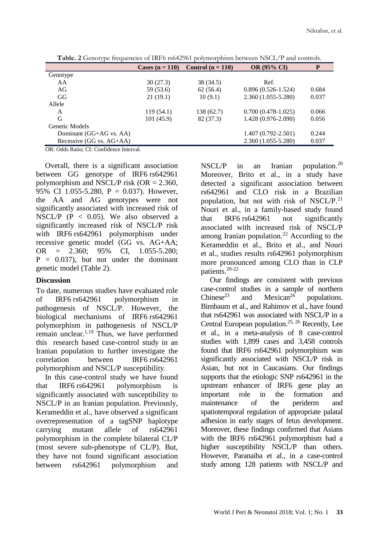|                          | <b>Cases (n = 110)</b> | Control $(n = 110)$ | <b>OR (95% CI)</b>     | P     |
|--------------------------|------------------------|---------------------|------------------------|-------|
| Genotype                 |                        |                     |                        |       |
| AA                       | 30(27.3)               | 38 (34.5)           | Ref.                   |       |
| AG                       | 59 (53.6)              | 62(56.4)            | $0.896(0.526-1.524)$   | 0.684 |
| GG                       | 21(19.1)               | 10(9.1)             | 2.360 (1.055-5.280)    | 0.037 |
| Allele                   |                        |                     |                        |       |
| A                        | 119(54.1)              | 138(62.7)           | $0.700(0.478-1.025)$   | 0.066 |
| G                        | 101(45.9)              | 82 (37.3)           | 1.428 (0.976-2.090)    | 0.056 |
| Genetic Models           |                        |                     |                        |       |
| Dominant (GG+AG vs. AA)  |                        |                     | $1.407(0.792 - 2.501)$ | 0.244 |
| Recessive (GG vs. AG+AA) |                        |                     | 2.360 (1.055-5.280)    | 0.037 |

**Table. 2** Genotype frequencies of IRF6 rs642961 polymorphism between NSCL/P and controls.

OR: Odds Ratio; CI: Confidence Interval.

Overall, there is a significant association between GG genotype of IRF6 rs642961 polymorphism and NSCL/P risk (OR  $= 2.360$ , 95% CI 1.055-5.280, P = 0.037). However, the AA and AG genotypes were not significantly associated with increased risk of NSCL/P (P < 0.05). We also observed a significantly increased risk of NSCL/P risk with IRF6 rs642961 polymorphism under recessive genetic model (GG vs. AG+AA; OR = 2.360; 95% CI, 1.055-5.280;  $P = 0.037$ , but not under the dominant genetic model (Table 2).

#### **Discussion**

To date, numerous studies have evaluated role of IRF6 rs642961 polymorphism in pathogenesis of NSCL/P. However, the biological mechanisms of IRF6 rs642961 polymorphism in pathogenesis of NSCL/P remain unclear. $1,19$  Thus, we have performed this research based case-control study in an Iranian population to further investigate the correlation between IRF6 rs642961 polymorphism and NSCL/P susceptibility.

In this case-control study we have found that IRF6 rs642961 polymorphism is significantly associated with susceptibility to NSCL/P in an Iranian population. Previously, Kerameddin et al., have observed a significant overrepresentation of a tagSNP haplotype carrying mutant allele of rs642961 polymorphism in the complete bilateral CL/P (most severe sub-phenotype of CL/P). But, they have not found significant association between rs642961 polymorphism and

 $NSCL/P$  in an Iranian population.<sup>20</sup> Moreover, Brito et al., in a study have detected a significant association between rs642961 and CLO risk in a Brazilian population, but not with risk of NSCL/ $P^{21}$ . [Nouri](https://www.ncbi.nlm.nih.gov/pubmed/?term=Nouri%20N%5BAuthor%5D&cauthor=true&cauthor_uid=25220223) et al., in a family-based study found that IRF6 rs642961 not significantly associated with increased risk of NSCL/P among Iranian population. $22$  According to the Kerameddin et al., Brito et al., and Nouri et al., studies results rs642961 polymorphism more pronounced among CLO than in CLP patients.20-22

Our findings are consistent with previous case-control studies in a sample of northern<br>Chinese<sup>23</sup> and Mexican<sup>24</sup> populations. Chinese<sup>23</sup> and Mexican<sup>24</sup> populations. [Birnbaum](https://www.ncbi.nlm.nih.gov/pubmed/?term=Birnbaum%20S%5BAuthor%5D&cauthor=true&cauthor_uid=20121942) et al., and Rahimov et al., have found that rs642961 was associated with NSCL/P in a Central European population.25, <sup>26</sup> Recently, Lee et al., in a meta-analysis of 8 case-control studies with 1,899 cases and 3,458 controls found that IRF6 rs642961 polymorphism was significantly associated with NSCL/P risk in Asian, but not in Caucasians. Our findings supports that the etiologic SNP rs642961 in the upstream enhancer of IRF6 gene play an important role in the formation and maintenance of the periderm and spatiotemporal regulation of appropriate palatal adhesion in early stages of fetus development. Moreover, these findings confirmed that Asians with the IRF6 rs642961 polymorphism had a higher susceptibility NSCL/P than others. However, Paranaiba et al., in a case-control study among 128 patients with NSCL/P and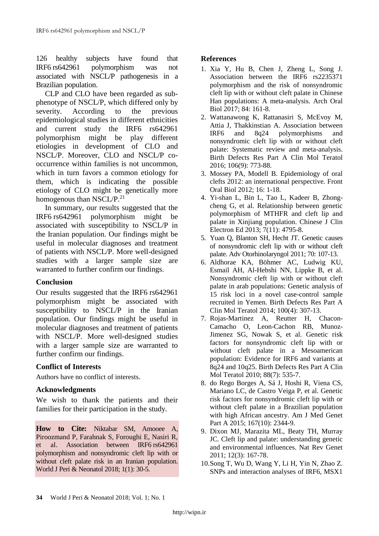126 healthy subjects have found that IRF6 rs642961 polymorphism was not associated with NSCL/P pathogenesis in a Brazilian population.

CLP and CLO have been regarded as subphenotype of NSCL/P, which differed only by severity. According to the previous epidemiological studies in different ethnicities and current study the IRF6 rs642961 polymorphism might be play different etiologies in development of CLO and NSCL/P. Moreover, CLO and NSCL/P cooccurrence within families is not uncommon, which in turn favors a common etiology for them, which is indicating the possible etiology of CLO might be genetically more homogenous than NSCL/P.<sup>21</sup>

In summary, our results suggested that the IRF6 rs642961 polymorphism might be associated with susceptibility to NSCL/P in the Iranian population. Our findings might be useful in molecular diagnoses and treatment of patients with NSCL/P. More well-designed studies with a larger sample size are warranted to further confirm our findings.

# **Conclusion**

Our results suggested that the IRF6 rs642961 polymorphism might be associated with susceptibility to NSCL/P in the Iranian population. Our findings might be useful in molecular diagnoses and treatment of patients with NSCL/P. More well-designed studies with a larger sample size are warranted to further confirm our findings.

# **Conflict of Interests**

Authors have no conflict of interests.

# **Acknowledgments**

We wish to thank the patients and their families for their participation in the study.

**How to Cite:** Niktabar SM, Amooee A, Piroozmand P, Farahnak S, Foroughi E, Nasiri R, et al. Association between IRF6 rs642961 polymorphism and nonsyndromic cleft lip with or without cleft palate risk in an Iranian population. World J Peri & Neonatol 2018; 1(1): 30-5.

# **References**

- 1. Xia Y, Hu B, Chen J, Zheng L, Song J. Association between the IRF6 rs2235371 polymorphism and the risk of nonsyndromic cleft lip with or without cleft palate in Chinese Han populations: A meta-analysis. Arch Oral Biol 2017; 84: 161-8.
- 2. Wattanawong K, Rattanasiri S, McEvoy M, Attia J, Thakkinstian A. Association between IRF6 and 8q24 polymorphisms and nonsyndromic cleft lip with or without cleft palate: Systematic review and meta-analysis. Birth Defects Res Part A Clin Mol Teratol 2016; 106(9): 773-88.
- 3. Mossey PA, Modell B. Epidemiology of oral clefts 2012: an international perspective. Front Oral Biol 2012; 16: 1-18.
- 4. Yi-shan L, Bin L, Tao L, Kadeer B, Zhongcheng G, et al. Relationship between genetic polymorphism of MTHFR and cleft lip and palate in Xinjiang population. Chinese J Clin Electron Ed 2013; 7(11): 4795-8.
- 5. Yuan Q, Blanton SH, Hecht JT. Genetic causes of nonsyndromic cleft lip with or without cleft palate. Adv Otorhinolaryngol 2011; 70: 107-13.
- 6. [Aldhorae KA,](https://www.ncbi.nlm.nih.gov/pubmed/?term=Aldhorae%20KA%5BAuthor%5D&cauthor=true&cauthor_uid=24634360) [Böhmer AC,](https://www.ncbi.nlm.nih.gov/pubmed/?term=B%C3%B6hmer%20AC%5BAuthor%5D&cauthor=true&cauthor_uid=24634360) [Ludwig KU,](https://www.ncbi.nlm.nih.gov/pubmed/?term=Ludwig%20KU%5BAuthor%5D&cauthor=true&cauthor_uid=24634360) [Esmail AH,](https://www.ncbi.nlm.nih.gov/pubmed/?term=Esmail%20AH%5BAuthor%5D&cauthor=true&cauthor_uid=24634360) [Al-Hebshi NN,](https://www.ncbi.nlm.nih.gov/pubmed/?term=Al-Hebshi%20NN%5BAuthor%5D&cauthor=true&cauthor_uid=24634360) [Lippke B,](https://www.ncbi.nlm.nih.gov/pubmed/?term=Lippke%20B%5BAuthor%5D&cauthor=true&cauthor_uid=24634360) et al. Nonsyndromic cleft lip with or without cleft palate in arab populations: Genetic analysis of 15 risk loci in a novel case-control sample recruited in Yemen. Birth Defects Res Part A Clin Mol Teratol 2014; 100(4): 307-13.
- 7. [Rojas-Martinez A,](https://www.ncbi.nlm.nih.gov/pubmed/?term=Rojas-Martinez%20A%5BAuthor%5D&cauthor=true&cauthor_uid=20564431) [Reutter H,](https://www.ncbi.nlm.nih.gov/pubmed/?term=Reutter%20H%5BAuthor%5D&cauthor=true&cauthor_uid=20564431) [Chacon-](https://www.ncbi.nlm.nih.gov/pubmed/?term=Chacon-Camacho%20O%5BAuthor%5D&cauthor=true&cauthor_uid=20564431)[Camacho O,](https://www.ncbi.nlm.nih.gov/pubmed/?term=Chacon-Camacho%20O%5BAuthor%5D&cauthor=true&cauthor_uid=20564431) [Leon-Cachon RB,](https://www.ncbi.nlm.nih.gov/pubmed/?term=Leon-Cachon%20RB%5BAuthor%5D&cauthor=true&cauthor_uid=20564431) [Munoz-](https://www.ncbi.nlm.nih.gov/pubmed/?term=Munoz-Jimenez%20SG%5BAuthor%5D&cauthor=true&cauthor_uid=20564431)[Jimenez SG,](https://www.ncbi.nlm.nih.gov/pubmed/?term=Munoz-Jimenez%20SG%5BAuthor%5D&cauthor=true&cauthor_uid=20564431) [Nowak](https://www.ncbi.nlm.nih.gov/pubmed/?term=Nowak%20S%5BAuthor%5D&cauthor=true&cauthor_uid=20564431) S, et al. Genetic risk factors for nonsyndromic cleft lip with or without cleft palate in a Mesoamerican population: Evidence for IRF6 and variants at 8q24 and 10q25. Birth Defects Res Part A Clin Mol Teratol 2010; 88(7): 535-7.
- 8. [do Rego Borges A,](https://www.ncbi.nlm.nih.gov/pubmed/?term=do%20Rego%20Borges%20A%5BAuthor%5D&cauthor=true&cauthor_uid=26198054) [Sá J,](https://www.ncbi.nlm.nih.gov/pubmed/?term=S%C3%A1%20J%5BAuthor%5D&cauthor=true&cauthor_uid=26198054) [Hoshi R,](https://www.ncbi.nlm.nih.gov/pubmed/?term=Hoshi%20R%5BAuthor%5D&cauthor=true&cauthor_uid=26198054) [Viena CS,](https://www.ncbi.nlm.nih.gov/pubmed/?term=Viena%20CS%5BAuthor%5D&cauthor=true&cauthor_uid=26198054) [Mariano LC,](https://www.ncbi.nlm.nih.gov/pubmed/?term=Mariano%20LC%5BAuthor%5D&cauthor=true&cauthor_uid=26198054) [de Castro](https://www.ncbi.nlm.nih.gov/pubmed/?term=de%20Castro%20Veiga%20P%5BAuthor%5D&cauthor=true&cauthor_uid=26198054) Veiga P, et al. Genetic risk factors for nonsyndromic cleft lip with or without cleft palate in a Brazilian population with high African ancestry. Am J Med Genet Part A 2015; 167(10): 2344-9.
- 9. Dixon MJ, Marazita ML, Beaty TH, Murray JC. Cleft lip and palate: understanding genetic and environmental influences. Nat Rev Genet 2011; 12(3): 167-78.
- 10[.Song T,](https://www.ncbi.nlm.nih.gov/pubmed/?term=Song%20T%5BAuthor%5D&cauthor=true&cauthor_uid=23921572) [Wu D,](https://www.ncbi.nlm.nih.gov/pubmed/?term=Wu%20D%5BAuthor%5D&cauthor=true&cauthor_uid=23921572) [Wang Y,](https://www.ncbi.nlm.nih.gov/pubmed/?term=Wang%20Y%5BAuthor%5D&cauthor=true&cauthor_uid=23921572) [Li H,](https://www.ncbi.nlm.nih.gov/pubmed/?term=Li%20H%5BAuthor%5D&cauthor=true&cauthor_uid=23921572) [Yin N,](https://www.ncbi.nlm.nih.gov/pubmed/?term=Yin%20N%5BAuthor%5D&cauthor=true&cauthor_uid=23921572) [Zhao Z.](https://www.ncbi.nlm.nih.gov/pubmed/?term=Zhao%20Z%5BAuthor%5D&cauthor=true&cauthor_uid=23921572) SNPs and interaction analyses of IRF6, MSX1